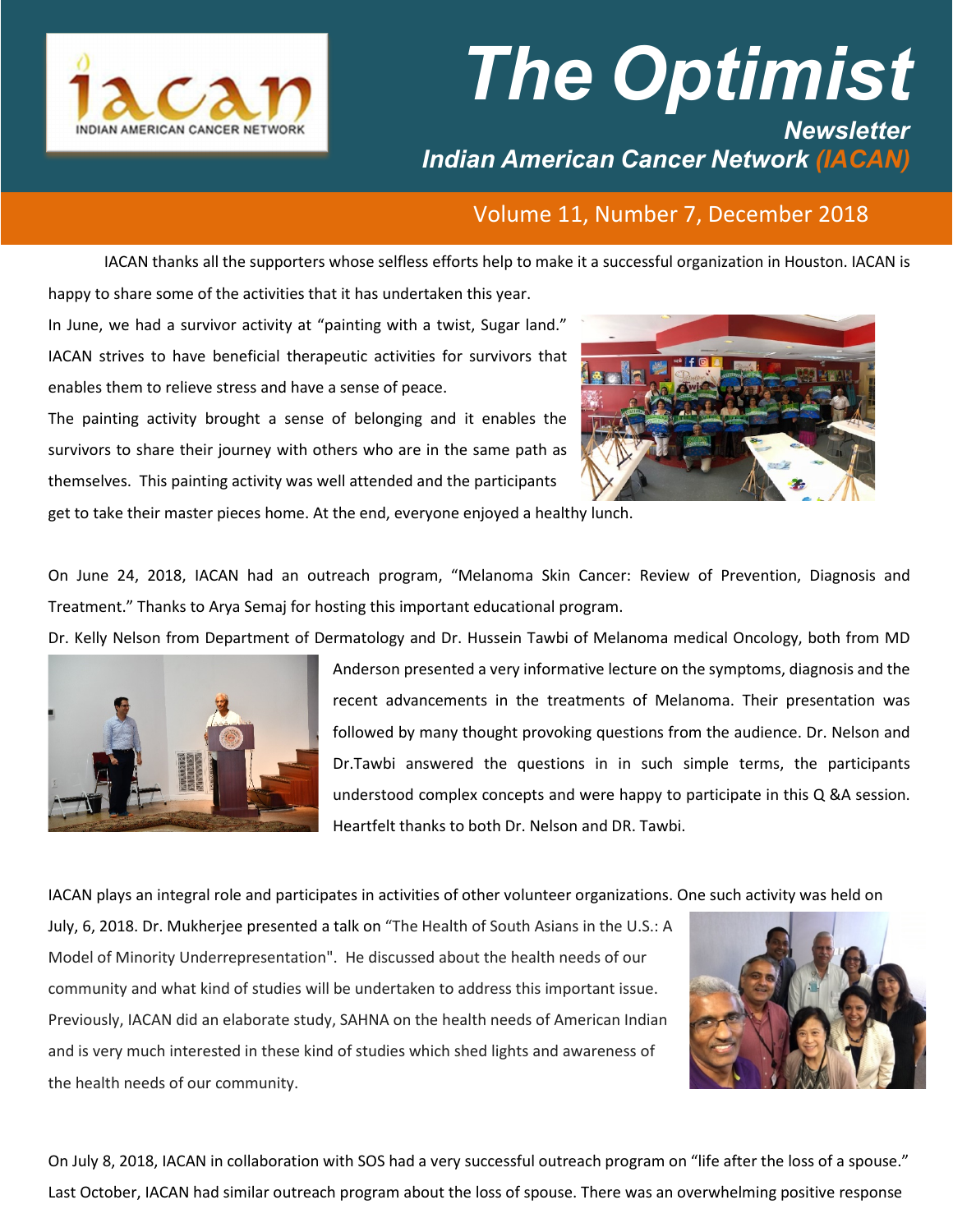

## *The Optimist Newsletter Indian American Cancer Network (IACAN)*

## Volume 11, Number 7, December 2018

IACAN thanks all the supporters whose selfless efforts help to make it a successful organization in Houston. IACAN is happy to share some of the activities that it has undertaken this year.

In June, we had a survivor activity at "painting with a twist, Sugar land." IACAN strives to have beneficial therapeutic activities for survivors that enables them to relieve stress and have a sense of peace.

The painting activity brought a sense of belonging and it enables the survivors to share their journey with others who are in the same path as themselves. This painting activity was well attended and the participants



get to take their master pieces home. At the end, everyone enjoyed a healthy lunch.

On June 24, 2018, IACAN had an outreach program, "Melanoma Skin Cancer: Review of Prevention, Diagnosis and Treatment." Thanks to Arya Semaj for hosting this important educational program.

Dr. Kelly Nelson from Department of Dermatology and Dr. Hussein Tawbi of Melanoma medical Oncology, both from MD



Anderson presented a very informative lecture on the symptoms, diagnosis and the recent advancements in the treatments of Melanoma. Their presentation was followed by many thought provoking questions from the audience. Dr. Nelson and Dr.Tawbi answered the questions in in such simple terms, the participants understood complex concepts and were happy to participate in this Q &A session. Heartfelt thanks to both Dr. Nelson and DR. Tawbi.

IACAN plays an integral role and participates in activities of other volunteer organizations. One such activity was held on

July, 6, 2018. Dr. Mukherjee presented a talk on "The Health of South Asians in the U.S.: A Model of Minority Underrepresentation". He discussed about the health needs of our community and what kind of studies will be undertaken to address this important issue. Previously, IACAN did an elaborate study, SAHNA on the health needs of American Indian and is very much interested in these kind of studies which shed lights and awareness of the health needs of our community.



On July 8, 2018, IACAN in collaboration with SOS had a very successful outreach program on "life after the loss of a spouse." Last October, IACAN had similar outreach program about the loss of spouse. There was an overwhelming positive response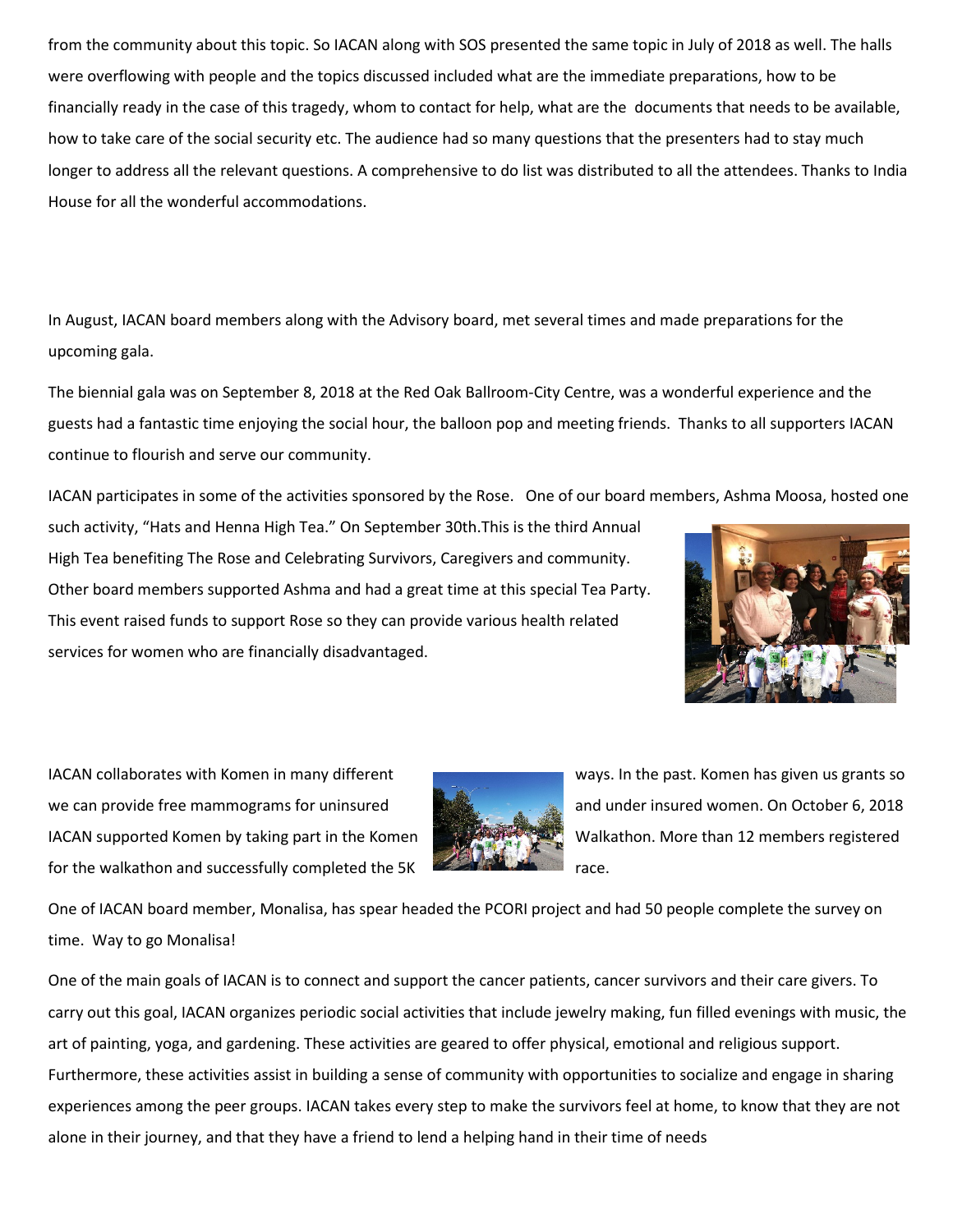from the community about this topic. So IACAN along with SOS presented the same topic in July of 2018 as well. The halls were overflowing with people and the topics discussed included what are the immediate preparations, how to be financially ready in the case of this tragedy, whom to contact for help, what are the documents that needs to be available, how to take care of the social security etc. The audience had so many questions that the presenters had to stay much longer to address all the relevant questions. A comprehensive to do list was distributed to all the attendees. Thanks to India House for all the wonderful accommodations.

In August, IACAN board members along with the Advisory board, met several times and made preparations for the upcoming gala.

The biennial gala was on September 8, 2018 at the Red Oak Ballroom-City Centre, was a wonderful experience and the guests had a fantastic time enjoying the social hour, the balloon pop and meeting friends. Thanks to all supporters IACAN continue to flourish and serve our community.

IACAN participates in some of the activities sponsored by the Rose. One of our board members, Ashma Moosa, hosted one

such activity, "Hats and Henna High Tea." On September 30th.This is the third Annual High Tea benefiting The Rose and Celebrating Survivors, Caregivers and community. Other board members supported Ashma and had a great time at this special Tea Party. This event raised funds to support Rose so they can provide various health related services for women who are financially disadvantaged.



we can provide free mammograms for uninsured and unical and under insured women. On October 6, 2018 IACAN supported Komen by taking part in the Komen Walkathon. More than 12 members registered for the walkathon and successfully completed the 5K race.



IACAN collaborates with Komen in many different ways. In the past. Komen has given us grants so

One of IACAN board member, Monalisa, has spear headed the PCORI project and had 50 people complete the survey on time. Way to go Monalisa!

One of the main goals of IACAN is to connect and support the cancer patients, cancer survivors and their care givers. To carry out this goal, IACAN organizes periodic social activities that include jewelry making, fun filled evenings with music, the art of painting, yoga, and gardening. These activities are geared to offer physical, emotional and religious support. Furthermore, these activities assist in building a sense of community with opportunities to socialize and engage in sharing experiences among the peer groups. IACAN takes every step to make the survivors feel at home, to know that they are not alone in their journey, and that they have a friend to lend a helping hand in their time of needs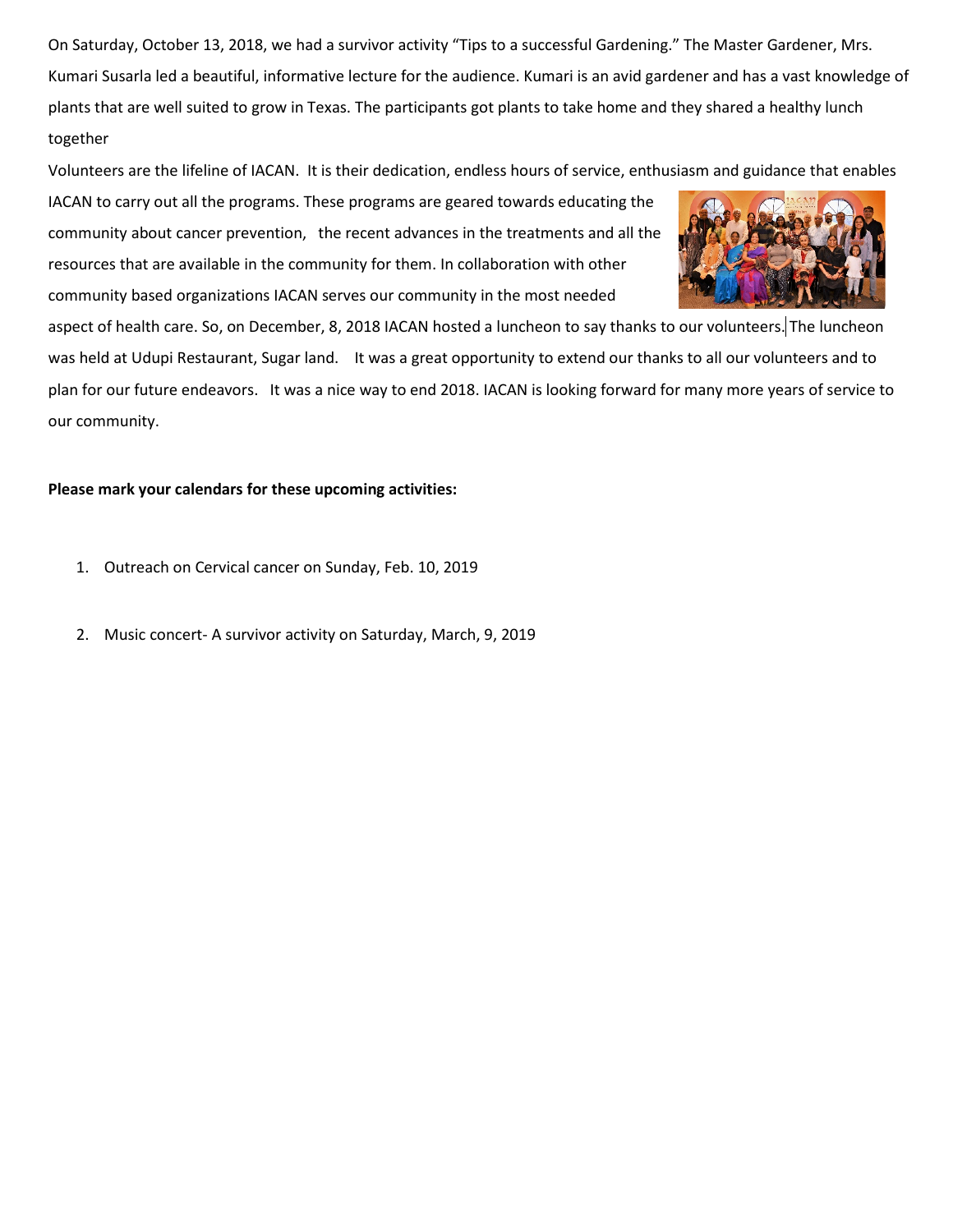On Saturday, October 13, 2018, we had a survivor activity "Tips to a successful Gardening." The Master Gardener, Mrs. Kumari Susarla led a beautiful, informative lecture for the audience. Kumari is an avid gardener and has a vast knowledge of plants that are well suited to grow in Texas. The participants got plants to take home and they shared a healthy lunch together

Volunteers are the lifeline of IACAN. It is their dedication, endless hours of service, enthusiasm and guidance that enables

IACAN to carry out all the programs. These programs are geared towards educating the community about cancer prevention, the recent advances in the treatments and all the resources that are available in the community for them. In collaboration with other community based organizations IACAN serves our community in the most needed



aspect of health care. So, on December, 8, 2018 IACAN hosted a luncheon to say thanks to our volunteers. The luncheon was held at Udupi Restaurant, Sugar land. It was a great opportunity to extend our thanks to all our volunteers and to plan for our future endeavors. It was a nice way to end 2018. IACAN is looking forward for many more years of service to our community.

## **Please mark your calendars for these upcoming activities:**

- 1. Outreach on Cervical cancer on Sunday, Feb. 10, 2019
- 2. Music concert- A survivor activity on Saturday, March, 9, 2019